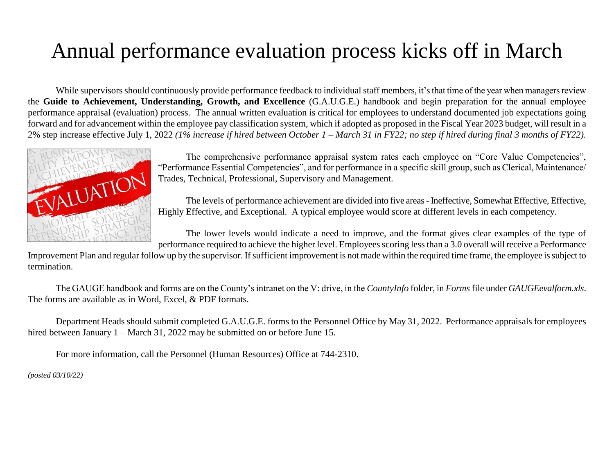# Annual performance evaluation process kicks off in March

While supervisors should continuously provide performance feedback to individual staff members, it's that time of the year when managers review the **Guide to Achievement, Understanding, Growth, and Excellence** (G.A.U.G.E.) handbook and begin preparation for the annual employee performance appraisal (evaluation) process. The annual written evaluation is critical for employees to understand documented job expectations going forward and for advancement within the employee pay classification system, which if adopted as proposed in the Fiscal Year 2023 budget, will result in a 2% step increase effective July 1, 2022 *(1% increase if hired between October 1 – March 31 in FY22; no step if hired during final 3 months of FY22)*.



The comprehensive performance appraisal system rates each employee on "Core Value Competencies", "Performance Essential Competencies", and for performance in a specific skill group, such as Clerical, Maintenance/ Trades, Technical, Professional, Supervisory and Management.

The levels of performance achievement are divided into five areas - Ineffective, Somewhat Effective, Effective, Highly Effective, and Exceptional. A typical employee would score at different levels in each competency.

The lower levels would indicate a need to improve, and the format gives clear examples of the type of performance required to achieve the higher level. Employees scoring less than a 3.0 overall will receive a Performance

Improvement Plan and regular follow up by the supervisor. If sufficient improvement is not made within the required time frame, the employee is subject to termination.

The GAUGE handbook and forms are on the County's intranet on the V: drive, in the *CountyInfo* folder, in *Forms*file under *GAUGEevalform.xls*. The forms are available as in Word, Excel, & PDF formats.

Department Heads should submit completed G.A.U.G.E. forms to the Personnel Office by May 31, 2022. Performance appraisals for employees hired between January 1 – March 31, 2022 may be submitted on or before June 15.

For more information, call the Personnel (Human Resources) Office at 744-2310.

*(posted 03/10/22)*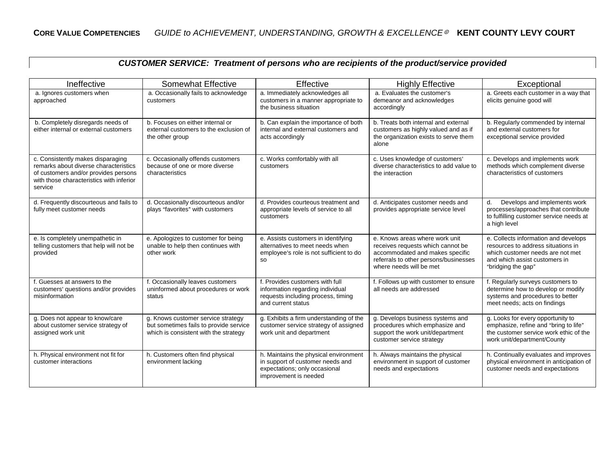| CUSTOMER SERVICE: Treatment of persons who are recipients of the product/service provided |  |  |  |  |  |
|-------------------------------------------------------------------------------------------|--|--|--|--|--|
|-------------------------------------------------------------------------------------------|--|--|--|--|--|

| Ineffective                                                                                                                                                               | <b>Somewhat Effective</b>                                                                                             | Effective                                                                                                                           | <b>Highly Effective</b>                                                                                                                                                    | Exceptional                                                                                                                                                           |
|---------------------------------------------------------------------------------------------------------------------------------------------------------------------------|-----------------------------------------------------------------------------------------------------------------------|-------------------------------------------------------------------------------------------------------------------------------------|----------------------------------------------------------------------------------------------------------------------------------------------------------------------------|-----------------------------------------------------------------------------------------------------------------------------------------------------------------------|
| a. Ignores customers when<br>approached                                                                                                                                   | a. Occasionally fails to acknowledge<br>customers                                                                     | a. Immediately acknowledges all<br>customers in a manner appropriate to<br>the business situation                                   | a. Evaluates the customer's<br>demeanor and acknowledges<br>accordingly                                                                                                    | a. Greets each customer in a way that<br>elicits genuine good will                                                                                                    |
| b. Completely disregards needs of<br>either internal or external customers                                                                                                | b. Focuses on either internal or<br>external customers to the exclusion of<br>the other group                         | b. Can explain the importance of both<br>internal and external customers and<br>acts accordingly                                    | b. Treats both internal and external<br>customers as highly valued and as if<br>the organization exists to serve them<br>alone                                             | b. Regularly commended by internal<br>and external customers for<br>exceptional service provided                                                                      |
| c. Consistently makes disparaging<br>remarks about diverse characteristics<br>of customers and/or provides persons<br>with those characteristics with inferior<br>service | c. Occasionally offends customers<br>because of one or more diverse<br>characteristics                                | c. Works comfortably with all<br>customers                                                                                          | c. Uses knowledge of customers'<br>diverse characteristics to add value to<br>the interaction                                                                              | c. Develops and implements work<br>methods which complement diverse<br>characteristics of customers                                                                   |
| d. Frequently discourteous and fails to<br>fully meet customer needs                                                                                                      | d. Occasionally discourteous and/or<br>plays "favorites" with customers                                               | d. Provides courteous treatment and<br>appropriate levels of service to all<br>customers                                            | d. Anticipates customer needs and<br>provides appropriate service level                                                                                                    | Develops and implements work<br>d.<br>processes/approaches that contribute<br>to fulfilling customer service needs at<br>a high level                                 |
| e. Is completely unempathetic in<br>telling customers that help will not be<br>provided                                                                                   | e. Apologizes to customer for being<br>unable to help then continues with<br>other work                               | e. Assists customers in identifying<br>alternatives to meet needs when<br>employee's role is not sufficient to do<br><b>SO</b>      | e. Knows areas where work unit<br>receives requests which cannot be<br>accommodated and makes specific<br>referrals to other persons/businesses<br>where needs will be met | e. Collects information and develops<br>resources to address situations in<br>which customer needs are not met<br>and which assist customers in<br>"bridging the gap" |
| f. Guesses at answers to the<br>customers' questions and/or provides<br>misinformation                                                                                    | f. Occasionally leaves customers<br>uninformed about procedures or work<br>status                                     | f. Provides customers with full<br>information regarding individual<br>requests including process, timing<br>and current status     | f. Follows up with customer to ensure<br>all needs are addressed                                                                                                           | f. Regularly surveys customers to<br>determine how to develop or modify<br>systems and procedures to better<br>meet needs; acts on findings                           |
| g. Does not appear to know/care<br>about customer service strategy of<br>assigned work unit                                                                               | g. Knows customer service strategy<br>but sometimes fails to provide service<br>which is consistent with the strategy | g. Exhibits a firm understanding of the<br>customer service strategy of assigned<br>work unit and department                        | g. Develops business systems and<br>procedures which emphasize and<br>support the work unit/department<br>customer service strategy                                        | g. Looks for every opportunity to<br>emphasize, refine and "bring to life"<br>the customer service work ethic of the<br>work unit/department/County                   |
| h. Physical environment not fit for<br>customer interactions                                                                                                              | h. Customers often find physical<br>environment lacking                                                               | h. Maintains the physical environment<br>in support of customer needs and<br>expectations; only occasional<br>improvement is needed | h. Always maintains the physical<br>environment in support of customer<br>needs and expectations                                                                           | h. Continually evaluates and improves<br>physical environment in anticipation of<br>customer needs and expectations                                                   |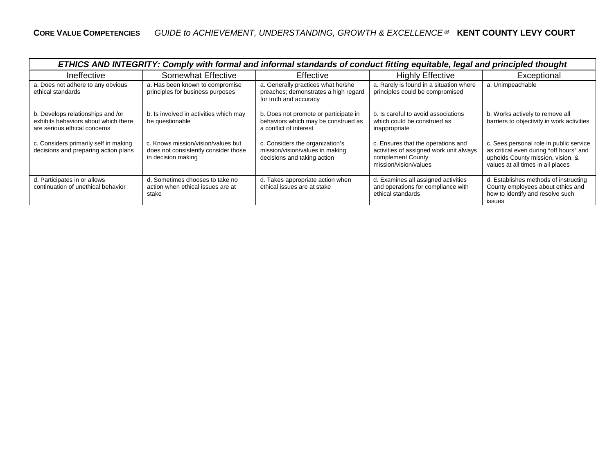| ETHICS AND INTEGRITY: Comply with formal and informal standards of conduct fitting equitable, legal and principled thought |                                                                                                  |                                                                                                        |                                                                                                                             |                                                                                                                                                              |
|----------------------------------------------------------------------------------------------------------------------------|--------------------------------------------------------------------------------------------------|--------------------------------------------------------------------------------------------------------|-----------------------------------------------------------------------------------------------------------------------------|--------------------------------------------------------------------------------------------------------------------------------------------------------------|
| Ineffective                                                                                                                | <b>Somewhat Effective</b>                                                                        | Effective                                                                                              | <b>Highly Effective</b>                                                                                                     | Exceptional                                                                                                                                                  |
| a. Does not adhere to any obvious<br>ethical standards                                                                     | a. Has been known to compromise<br>principles for business purposes                              | a. Generally practices what he/she<br>preaches; demonstrates a high regard<br>for truth and accuracy   | a. Rarely is found in a situation where<br>principles could be compromised                                                  | a. Unimpeachable                                                                                                                                             |
| b. Develops relationships and /or<br>exhibits behaviors about which there<br>are serious ethical concerns                  | b. Is involved in activities which may<br>be questionable                                        | b. Does not promote or participate in<br>behaviors which may be construed as<br>a conflict of interest | b. Is careful to avoid associations<br>which could be construed as<br>inappropriate                                         | b. Works actively to remove all<br>barriers to objectivity in work activities                                                                                |
| c. Considers primarily self in making<br>decisions and preparing action plans                                              | c. Knows mission/vision/values but<br>does not consistently consider those<br>in decision making | c. Considers the organization's<br>mission/vision/values in making<br>decisions and taking action      | c. Ensures that the operations and<br>activities of assigned work unit always<br>complement County<br>mission/vision/values | c. Sees personal role in public service<br>as critical even during "off hours" and<br>upholds County mission, vision, &<br>values at all times in all places |
| d. Participates in or allows<br>continuation of unethical behavior                                                         | d. Sometimes chooses to take no<br>action when ethical issues are at<br>stake                    | d. Takes appropriate action when<br>ethical issues are at stake                                        | d. Examines all assigned activities<br>and operations for compliance with<br>ethical standards                              | d. Establishes methods of instructing<br>County employees about ethics and<br>how to identify and resolve such<br><b>issues</b>                              |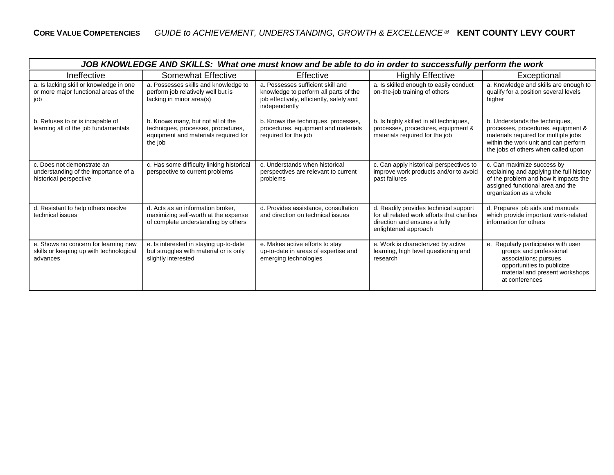| JOB KNOWLEDGE AND SKILLS: What one must know and be able to do in order to successfully perform the work |                                                                                                                            |                                                                                                                                         |                                                                                                                                               |                                                                                                                                                                                             |
|----------------------------------------------------------------------------------------------------------|----------------------------------------------------------------------------------------------------------------------------|-----------------------------------------------------------------------------------------------------------------------------------------|-----------------------------------------------------------------------------------------------------------------------------------------------|---------------------------------------------------------------------------------------------------------------------------------------------------------------------------------------------|
| Ineffective                                                                                              | Somewhat Effective                                                                                                         | Effective                                                                                                                               | <b>Highly Effective</b>                                                                                                                       | Exceptional                                                                                                                                                                                 |
| a. Is lacking skill or knowledge in one<br>or more major functional areas of the<br>job                  | a. Possesses skills and knowledge to<br>perform job relatively well but is<br>lacking in minor area(s)                     | a. Possesses sufficient skill and<br>knowledge to perform all parts of the<br>job effectively, efficiently, safely and<br>independently | a. Is skilled enough to easily conduct<br>on-the-job training of others                                                                       | a. Knowledge and skills are enough to<br>qualify for a position several levels<br>higher                                                                                                    |
| b. Refuses to or is incapable of<br>learning all of the job fundamentals                                 | b. Knows many, but not all of the<br>techniques, processes, procedures,<br>equipment and materials required for<br>the job | b. Knows the techniques, processes,<br>procedures, equipment and materials<br>required for the job                                      | b. Is highly skilled in all techniques,<br>processes, procedures, equipment &<br>materials required for the job                               | b. Understands the techniques,<br>processes, procedures, equipment &<br>materials required for multiple jobs<br>within the work unit and can perform<br>the jobs of others when called upon |
| c. Does not demonstrate an<br>understanding of the importance of a<br>historical perspective             | c. Has some difficulty linking historical<br>perspective to current problems                                               | c. Understands when historical<br>perspectives are relevant to current<br>problems                                                      | c. Can apply historical perspectives to<br>improve work products and/or to avoid<br>past failures                                             | c. Can maximize success by<br>explaining and applying the full history<br>of the problem and how it impacts the<br>assigned functional area and the<br>organization as a whole              |
| d. Resistant to help others resolve<br>technical issues                                                  | d. Acts as an information broker.<br>maximizing self-worth at the expense<br>of complete understanding by others           | d. Provides assistance, consultation<br>and direction on technical issues                                                               | d. Readily provides technical support<br>for all related work efforts that clarifies<br>direction and ensures a fully<br>enlightened approach | d. Prepares job aids and manuals<br>which provide important work-related<br>information for others                                                                                          |
| e. Shows no concern for learning new<br>skills or keeping up with technological<br>advances              | e. Is interested in staying up-to-date<br>but struggles with material or is only<br>slightly interested                    | e. Makes active efforts to stay<br>up-to-date in areas of expertise and<br>emerging technologies                                        | e. Work is characterized by active<br>learning, high level questioning and<br>research                                                        | e. Regularly participates with user<br>groups and professional<br>associations; pursues<br>opportunities to publicize<br>material and present workshops<br>at conferences                   |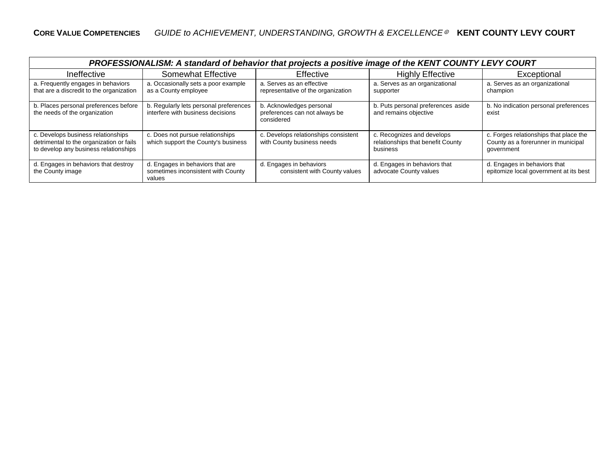| PROFESSIONALISM: A standard of behavior that projects a positive image of the KENT COUNTY LEVY COURT                    |                                                                                  |                                                                         |                                                                             |                                                                                             |
|-------------------------------------------------------------------------------------------------------------------------|----------------------------------------------------------------------------------|-------------------------------------------------------------------------|-----------------------------------------------------------------------------|---------------------------------------------------------------------------------------------|
| Ineffective                                                                                                             | <b>Somewhat Effective</b>                                                        | Effective                                                               | <b>Highly Effective</b>                                                     | Exceptional                                                                                 |
| a. Frequently engages in behaviors<br>that are a discredit to the organization                                          | a. Occasionally sets a poor example<br>as a County employee                      | a. Serves as an effective<br>representative of the organization         | a. Serves as an organizational<br>supporter                                 | a. Serves as an organizational<br>champion                                                  |
| b. Places personal preferences before<br>the needs of the organization                                                  | b. Regularly lets personal preferences<br>interfere with business decisions      | b. Acknowledges personal<br>preferences can not always be<br>considered | b. Puts personal preferences aside<br>and remains objective                 | b. No indication personal preferences<br>exist                                              |
| c. Develops business relationships<br>detrimental to the organization or fails<br>to develop any business relationships | c. Does not pursue relationships<br>which support the County's business          | c. Develops relationships consistent<br>with County business needs      | c. Recognizes and develops<br>relationships that benefit County<br>business | c. Forges relationships that place the<br>County as a forerunner in municipal<br>government |
| d. Engages in behaviors that destroy<br>the County image                                                                | d. Engages in behaviors that are<br>sometimes inconsistent with County<br>values | d. Engages in behaviors<br>consistent with County values                | d. Engages in behaviors that<br>advocate County values                      | d. Engages in behaviors that<br>epitomize local government at its best                      |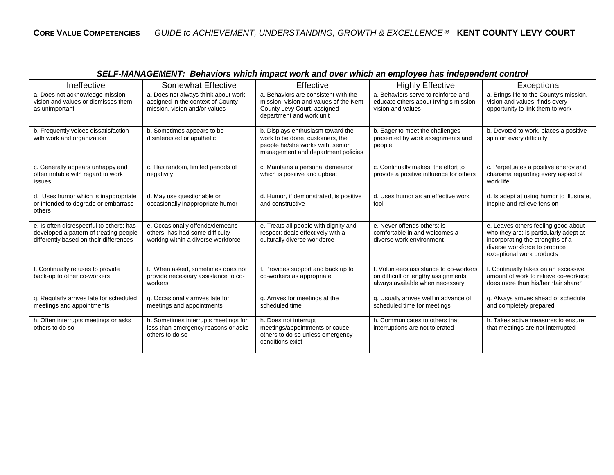| SELF-MANAGEMENT: Behaviors which impact work and over which an employee has independent control                              |                                                                                                           |                                                                                                                                                |                                                                                                                   |                                                                                                                                                                                |
|------------------------------------------------------------------------------------------------------------------------------|-----------------------------------------------------------------------------------------------------------|------------------------------------------------------------------------------------------------------------------------------------------------|-------------------------------------------------------------------------------------------------------------------|--------------------------------------------------------------------------------------------------------------------------------------------------------------------------------|
| Ineffective                                                                                                                  | <b>Somewhat Effective</b>                                                                                 | Effective                                                                                                                                      | <b>Highly Effective</b>                                                                                           | Exceptional                                                                                                                                                                    |
| a. Does not acknowledge mission,<br>vision and values or dismisses them<br>as unimportant                                    | a. Does not always think about work<br>assigned in the context of County<br>mission, vision and/or values | a. Behaviors are consistent with the<br>mission, vision and values of the Kent<br>County Levy Court, assigned<br>department and work unit      | a. Behaviors serve to reinforce and<br>educate others about Irving's mission,<br>vision and values                | a. Brings life to the County's mission,<br>vision and values; finds every<br>opportunity to link them to work                                                                  |
| b. Frequently voices dissatisfaction<br>with work and organization                                                           | b. Sometimes appears to be<br>disinterested or apathetic                                                  | b. Displays enthusiasm toward the<br>work to be done, customers, the<br>people he/she works with, senior<br>management and department policies | b. Eager to meet the challenges<br>presented by work assignments and<br>people                                    | b. Devoted to work, places a positive<br>spin on every difficulty                                                                                                              |
| c. Generally appears unhappy and<br>often irritable with regard to work<br>issues                                            | c. Has random, limited periods of<br>negativity                                                           | c. Maintains a personal demeanor<br>which is positive and upbeat                                                                               | c. Continually makes the effort to<br>provide a positive influence for others                                     | c. Perpetuates a positive energy and<br>charisma regarding every aspect of<br>work life                                                                                        |
| d. Uses humor which is inappropriate<br>or intended to degrade or embarrass<br>others                                        | d. May use questionable or<br>occasionally inappropriate humor                                            | d. Humor, if demonstrated, is positive<br>and constructive                                                                                     | d. Uses humor as an effective work<br>tool                                                                        | d. Is adept at using humor to illustrate,<br>inspire and relieve tension                                                                                                       |
| e. Is often disrespectful to others; has<br>developed a pattern of treating people<br>differently based on their differences | e. Occasionally offends/demeans<br>others; has had some difficulty<br>working within a diverse workforce  | e. Treats all people with dignity and<br>respect; deals effectively with a<br>culturally diverse workforce                                     | e. Never offends others; is<br>comfortable in and welcomes a<br>diverse work environment                          | e. Leaves others feeling good about<br>who they are; is particularly adept at<br>incorporating the strengths of a<br>diverse workforce to produce<br>exceptional work products |
| f. Continually refuses to provide<br>back-up to other co-workers                                                             | f. When asked, sometimes does not<br>provide necessary assistance to co-<br>workers                       | f. Provides support and back up to<br>co-workers as appropriate                                                                                | f. Volunteers assistance to co-workers<br>on difficult or lengthy assignments;<br>always available when necessary | f. Continually takes on an excessive<br>amount of work to relieve co-workers:<br>does more than his/her "fair share"                                                           |
| g. Regularly arrives late for scheduled<br>meetings and appointments                                                         | g. Occasionally arrives late for<br>meetings and appointments                                             | g. Arrives for meetings at the<br>scheduled time                                                                                               | g. Usually arrives well in advance of<br>scheduled time for meetings                                              | g. Always arrives ahead of schedule<br>and completely prepared                                                                                                                 |
| h. Often interrupts meetings or asks<br>others to do so                                                                      | h. Sometimes interrupts meetings for<br>less than emergency reasons or asks<br>others to do so            | h. Does not interrupt<br>meetings/appointments or cause<br>others to do so unless emergency<br>conditions exist                                | h. Communicates to others that<br>interruptions are not tolerated                                                 | h. Takes active measures to ensure<br>that meetings are not interrupted                                                                                                        |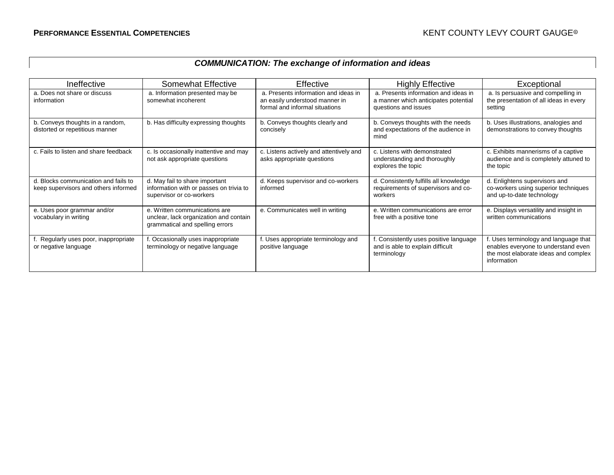# *COMMUNICATION: The exchange of information and ideas*

| Ineffective                                                                  | Somewhat Effective                                                                                         | Effective                                                                                                | <b>Highly Effective</b>                                                                              | Exceptional                                                                                                                         |
|------------------------------------------------------------------------------|------------------------------------------------------------------------------------------------------------|----------------------------------------------------------------------------------------------------------|------------------------------------------------------------------------------------------------------|-------------------------------------------------------------------------------------------------------------------------------------|
| a. Does not share or discuss<br>information                                  | a. Information presented may be<br>somewhat incoherent                                                     | a. Presents information and ideas in<br>an easily understood manner in<br>formal and informal situations | a. Presents information and ideas in<br>a manner which anticipates potential<br>questions and issues | a. Is persuasive and compelling in<br>the presentation of all ideas in every<br>setting                                             |
| b. Conveys thoughts in a random,<br>distorted or repetitious manner          | b. Has difficulty expressing thoughts                                                                      | b. Conveys thoughts clearly and<br>concisely                                                             | b. Conveys thoughts with the needs<br>and expectations of the audience in<br>mind                    | b. Uses illustrations, analogies and<br>demonstrations to convey thoughts                                                           |
| c. Fails to listen and share feedback                                        | c. Is occasionally inattentive and may<br>not ask appropriate questions                                    | c. Listens actively and attentively and<br>asks appropriate questions                                    | c. Listens with demonstrated<br>understanding and thoroughly<br>explores the topic                   | c. Exhibits mannerisms of a captive<br>audience and is completely attuned to<br>the topic                                           |
| d. Blocks communication and fails to<br>keep supervisors and others informed | d. May fail to share important<br>information with or passes on trivia to<br>supervisor or co-workers      | d. Keeps supervisor and co-workers<br>informed                                                           | d. Consistently fulfills all knowledge<br>requirements of supervisors and co-<br>workers             | d. Enlightens supervisors and<br>co-workers using superior techniques<br>and up-to-date technology                                  |
| e. Uses poor grammar and/or<br>vocabulary in writing                         | e. Written communications are<br>unclear, lack organization and contain<br>grammatical and spelling errors | e. Communicates well in writing                                                                          | e. Written communications are error<br>free with a positive tone                                     | e. Displays versatility and insight in<br>written communications                                                                    |
| Regularly uses poor, inappropriate<br>or negative language                   | . Occasionally uses inappropriate<br>terminology or negative language                                      | f. Uses appropriate terminology and<br>positive language                                                 | Consistently uses positive language<br>and is able to explain difficult<br>terminology               | f. Uses terminology and language that<br>enables everyone to understand even<br>the most elaborate ideas and complex<br>information |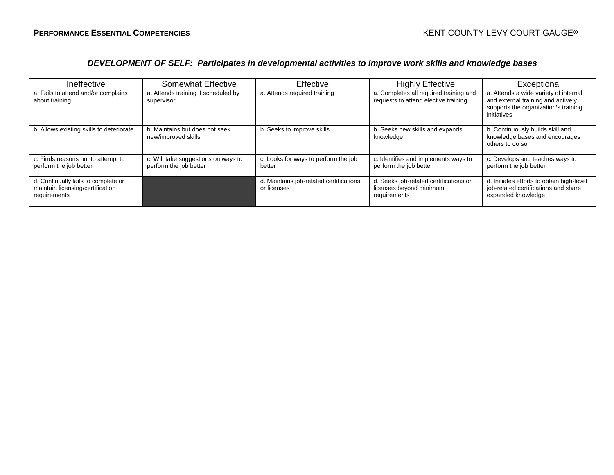### *DEVELOPMENT OF SELF: Participates in developmental activities to improve work skills and knowledge bases*

| Ineffective                                                                             | <b>Somewhat Effective</b>                                     | Effective                                              | <b>Highly Effective</b>                                                           | Exceptional                                                                                                                        |
|-----------------------------------------------------------------------------------------|---------------------------------------------------------------|--------------------------------------------------------|-----------------------------------------------------------------------------------|------------------------------------------------------------------------------------------------------------------------------------|
| a. Fails to attend and/or complains<br>about training                                   | a. Attends training if scheduled by<br>supervisor             | a. Attends required training                           | a. Completes all required training and<br>requests to attend elective training    | a. Attends a wide variety of internal<br>and external training and actively<br>supports the organization's training<br>initiatives |
| b. Allows existing skills to deteriorate                                                | b. Maintains but does not seek<br>new/improved skills         | b. Seeks to improve skills                             | b. Seeks new skills and expands<br>knowledge                                      | b. Continuously builds skill and<br>knowledge bases and encourages<br>others to do so                                              |
| c. Finds reasons not to attempt to<br>perform the job better                            | c. Will take suggestions on ways to<br>perform the job better | c. Looks for ways to perform the job<br>better         | c. Identifies and implements ways to<br>perform the job better                    | c. Develops and teaches ways to<br>perform the job better                                                                          |
| d. Continually fails to complete or<br>maintain licensing/certification<br>requirements |                                                               | d. Maintains job-related certifications<br>or licenses | d. Seeks job-related certifications or<br>licenses beyond minimum<br>requirements | d. Initiates efforts to obtain high-level<br>job-related certifications and share<br>expanded knowledge                            |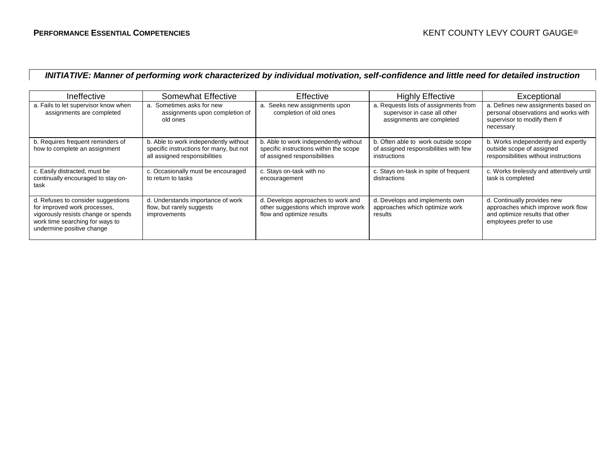#### *INITIATIVE: Manner of performing work characterized by individual motivation, self-confidence and little need for detailed instruction*

| Ineffective                                                                                                                                                               | Somewhat Effective                                                                                                | Effective                                                                                                       | <b>Highly Effective</b>                                                                            | Exceptional                                                                                                                     |
|---------------------------------------------------------------------------------------------------------------------------------------------------------------------------|-------------------------------------------------------------------------------------------------------------------|-----------------------------------------------------------------------------------------------------------------|----------------------------------------------------------------------------------------------------|---------------------------------------------------------------------------------------------------------------------------------|
| a. Fails to let supervisor know when<br>assignments are completed                                                                                                         | a. Sometimes asks for new<br>assignments upon completion of<br>old ones                                           | a. Seeks new assignments upon<br>completion of old ones                                                         | a. Requests lists of assignments from<br>supervisor in case all other<br>assignments are completed | a. Defines new assignments based on<br>personal observations and works with<br>supervisor to modify them if<br>necessary        |
| b. Requires frequent reminders of<br>how to complete an assignment                                                                                                        | b. Able to work independently without<br>specific instructions for many, but not<br>all assigned responsibilities | b. Able to work independently without<br>specific instructions within the scope<br>of assigned responsibilities | b. Often able to work outside scope<br>of assigned responsibilities with few<br>instructions       | b. Works independently and expertly<br>outside scope of assigned<br>responsibilities without instructions                       |
| c. Easily distracted, must be<br>continually encouraged to stay on-<br>task                                                                                               | c. Occasionally must be encouraged<br>to return to tasks                                                          | c. Stays on-task with no<br>encouragement                                                                       | c. Stays on-task in spite of frequent<br>distractions                                              | c. Works tirelessly and attentively until<br>task is completed                                                                  |
| d. Refuses to consider suggestions<br>for improved work processes,<br>vigorously resists change or spends<br>work time searching for ways to<br>undermine positive change | d. Understands importance of work<br>flow, but rarely suggests<br>improvements                                    | d. Develops approaches to work and<br>other suggestions which improve work<br>flow and optimize results         | d. Develops and implements own<br>approaches which optimize work<br>results                        | d. Continually provides new<br>approaches which improve work flow<br>and optimize results that other<br>employees prefer to use |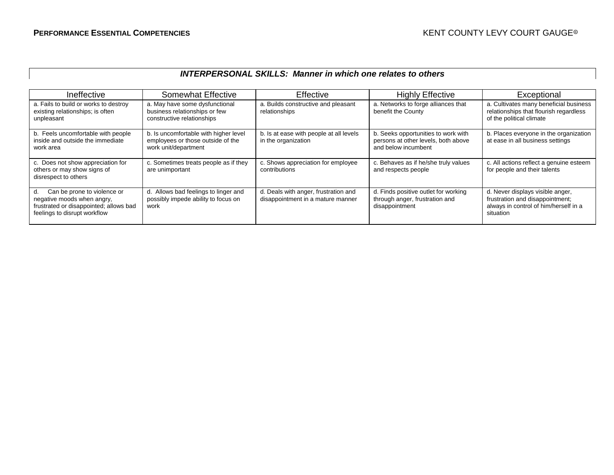#### *INTERPERSONAL SKILLS: Manner in which one relates to others*

| Ineffective                                                                                                                               | <b>Somewhat Effective</b>                                                                          | Effective                                                                 | <b>Highly Effective</b>                                                                           | Exceptional                                                                                                               |
|-------------------------------------------------------------------------------------------------------------------------------------------|----------------------------------------------------------------------------------------------------|---------------------------------------------------------------------------|---------------------------------------------------------------------------------------------------|---------------------------------------------------------------------------------------------------------------------------|
| a. Fails to build or works to destroy<br>existing relationships; is often<br>unpleasant                                                   | a. May have some dysfunctional<br>business relationships or few<br>constructive relationships      | a. Builds constructive and pleasant<br>relationships                      | a. Networks to forge alliances that<br>benefit the County                                         | a. Cultivates many beneficial business<br>relationships that flourish regardless<br>of the political climate              |
| b. Feels uncomfortable with people<br>inside and outside the immediate<br>work area                                                       | b. Is uncomfortable with higher level<br>employees or those outside of the<br>work unit/department | b. Is at ease with people at all levels<br>in the organization            | b. Seeks opportunities to work with<br>persons at other levels, both above<br>and below incumbent | b. Places everyone in the organization<br>at ease in all business settings                                                |
| c. Does not show appreciation for<br>others or may show signs of<br>disrespect to others                                                  | c. Sometimes treats people as if they<br>are unimportant                                           | c. Shows appreciation for employee<br>contributions                       | c. Behaves as if he/she truly values<br>and respects people                                       | c. All actions reflect a genuine esteem<br>for people and their talents                                                   |
| Can be prone to violence or<br>d.<br>negative moods when angry,<br>frustrated or disappointed; allows bad<br>feelings to disrupt workflow | d. Allows bad feelings to linger and<br>possibly impede ability to focus on<br>work                | d. Deals with anger, frustration and<br>disappointment in a mature manner | d. Finds positive outlet for working<br>through anger, frustration and<br>disappointment          | d. Never displays visible anger,<br>frustration and disappointment;<br>always in control of him/herself in a<br>situation |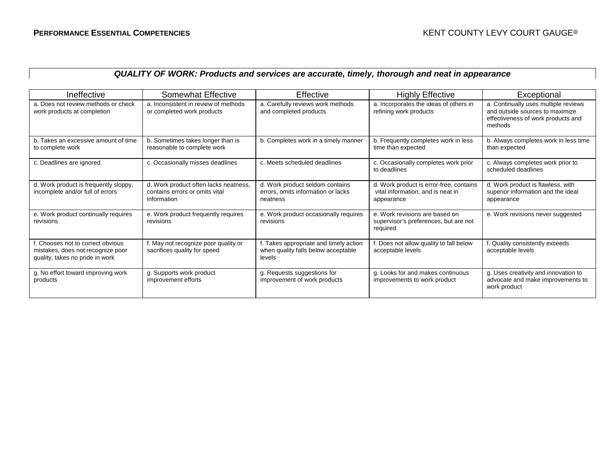### *QUALITY OF WORK: Products and services are accurate, timely, thorough and neat in appearance*

| Ineffective                                                                                            | Somewhat Effective                                                                     | Effective                                                                               | <b>Highly Effective</b>                                                                    | Exceptional                                                                                                              |
|--------------------------------------------------------------------------------------------------------|----------------------------------------------------------------------------------------|-----------------------------------------------------------------------------------------|--------------------------------------------------------------------------------------------|--------------------------------------------------------------------------------------------------------------------------|
| a. Does not review methods or check<br>work products at completion                                     | a. Inconsistent in review of methods<br>or completed work products                     | a. Carefully reviews work methods<br>and completed products                             | a. Incorporates the ideas of others in<br>refining work products                           | a. Continually uses multiple reviews<br>and outside sources to maximize<br>effectiveness of work products and<br>methods |
| b. Takes an excessive amount of time<br>to complete work                                               | b. Sometimes takes longer than is<br>reasonable to complete work                       | b. Completes work in a timely manner                                                    | b. Frequently completes work in less<br>time than expected                                 | b. Always completes work in less time<br>than expected                                                                   |
| c. Deadlines are ignored                                                                               | c. Occasionally misses deadlines                                                       | c. Meets scheduled deadlines                                                            | c. Occasionally completes work prior<br>to deadlines                                       | c. Always completes work prior to<br>scheduled deadlines                                                                 |
| d. Work product is frequently sloppy,<br>incomplete and/or full of errors                              | d. Work product often lacks neatness,<br>contains errors or omits vital<br>information | d. Work product seldom contains<br>errors, omits information or lacks<br>neatness       | d. Work product is error-free, contains<br>vital information, and is neat in<br>appearance | d. Work product is flawless, with<br>superior information and the ideal<br>appearance                                    |
| e. Work product continually requires<br>revisions                                                      | e. Work product frequently requires<br>revisions                                       | e. Work product occasionally requires<br>revisions                                      | e. Work revisions are based on<br>supervisor's preferences, but are not<br>required        | e. Work revisions never suggested                                                                                        |
| Chooses not to correct obvious<br>mistakes, does not recognize poor<br>quality, takes no pride in work | . May not recognize poor quality or<br>sacrifices quality for speed                    | f. Takes appropriate and timely action<br>when quality falls below acceptable<br>levels | f. Does not allow quality to fall below<br>acceptable levels                               | f. Quality consistently exceeds<br>acceptable levels                                                                     |
| g. No effort toward improving work<br>products                                                         | g. Supports work product<br>improvement efforts                                        | g. Requests suggestions for<br>improvement of work products                             | g. Looks for and makes continuous<br>improvements to work product                          | g. Uses creativity and innovation to<br>advocate and make improvements to<br>work product                                |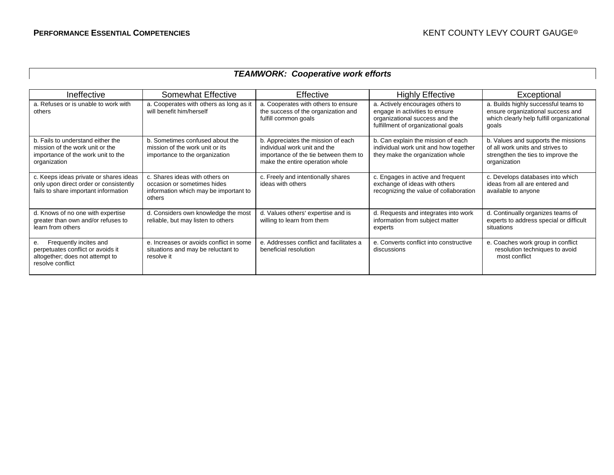#### *TEAMWORK: Cooperative work efforts*

| Ineffective                                                                                                                | Somewhat Effective                                                                                               | Effective                                                                                                                                      | <b>Highly Effective</b>                                                                                                                     | Exceptional                                                                                                                     |
|----------------------------------------------------------------------------------------------------------------------------|------------------------------------------------------------------------------------------------------------------|------------------------------------------------------------------------------------------------------------------------------------------------|---------------------------------------------------------------------------------------------------------------------------------------------|---------------------------------------------------------------------------------------------------------------------------------|
| a. Refuses or is unable to work with<br>others                                                                             | a. Cooperates with others as long as it<br>will benefit him/herself                                              | a. Cooperates with others to ensure<br>the success of the organization and<br>fulfill common goals                                             | a. Actively encourages others to<br>engage in activities to ensure<br>organizational success and the<br>fulfillment of organizational goals | a. Builds highly successful teams to<br>ensure organizational success and<br>which clearly help fulfill organizational<br>goals |
| b. Fails to understand either the<br>mission of the work unit or the<br>importance of the work unit to the<br>organization | b. Sometimes confused about the<br>mission of the work unit or its<br>importance to the organization             | b. Appreciates the mission of each<br>individual work unit and the<br>importance of the tie between them to<br>make the entire operation whole | b. Can explain the mission of each<br>individual work unit and how together<br>they make the organization whole                             | b. Values and supports the missions<br>of all work units and strives to<br>strengthen the ties to improve the<br>organization   |
| c. Keeps ideas private or shares ideas<br>only upon direct order or consistently<br>fails to share important information   | c. Shares ideas with others on<br>occasion or sometimes hides<br>information which may be important to<br>others | c. Freely and intentionally shares<br>ideas with others                                                                                        | c. Engages in active and frequent<br>exchange of ideas with others<br>recognizing the value of collaboration                                | c. Develops databases into which<br>ideas from all are entered and<br>available to anyone                                       |
| d. Knows of no one with expertise<br>greater than own and/or refuses to<br>learn from others                               | d. Considers own knowledge the most<br>reliable, but may listen to others                                        | d. Values others' expertise and is<br>willing to learn from them                                                                               | d. Requests and integrates into work<br>information from subject matter<br>experts                                                          | d. Continually organizes teams of<br>experts to address special or difficult<br>situations                                      |
| Frequently incites and<br>е.<br>perpetuates conflict or avoids it<br>altogether; does not attempt to<br>resolve conflict   | e. Increases or avoids conflict in some<br>situations and may be reluctant to<br>resolve it                      | e. Addresses conflict and facilitates a<br>beneficial resolution                                                                               | e. Converts conflict into constructive<br>discussions                                                                                       | e. Coaches work group in conflict<br>resolution techniques to avoid<br>most conflict                                            |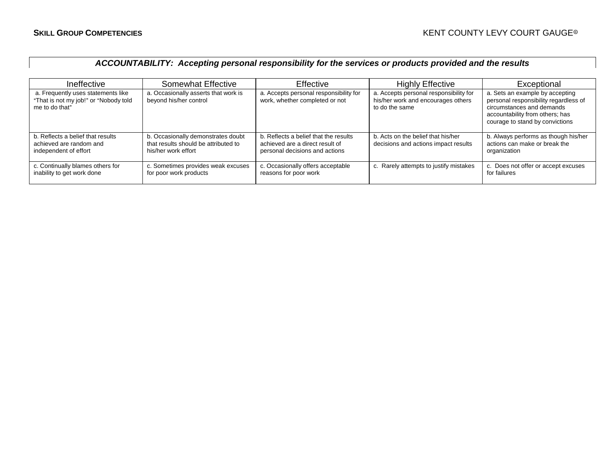# *ACCOUNTABILITY: Accepting personal responsibility for the services or products provided and the results*

| Ineffective                                                                                   | Somewhat Effective                                                                                | <b>Effective</b>                                                                                           | <b>Highly Effective</b>                                                                        | Exceptional                                                                                                                                                                 |
|-----------------------------------------------------------------------------------------------|---------------------------------------------------------------------------------------------------|------------------------------------------------------------------------------------------------------------|------------------------------------------------------------------------------------------------|-----------------------------------------------------------------------------------------------------------------------------------------------------------------------------|
| a. Frequently uses statements like<br>"That is not my job!" or "Nobody told<br>me to do that" | a. Occasionally asserts that work is<br>beyond his/her control                                    | a. Accepts personal responsibility for<br>work, whether completed or not                                   | a. Accepts personal responsibility for<br>his/her work and encourages others<br>to do the same | a. Sets an example by accepting<br>personal responsibility regardless of<br>circumstances and demands<br>accountability from others; has<br>courage to stand by convictions |
| b. Reflects a belief that results<br>achieved are random and<br>independent of effort         | b. Occasionally demonstrates doubt<br>that results should be attributed to<br>his/her work effort | b. Reflects a belief that the results<br>achieved are a direct result of<br>personal decisions and actions | b. Acts on the belief that his/her<br>decisions and actions impact results                     | b. Always performs as though his/her<br>actions can make or break the<br>organization                                                                                       |
| c. Continually blames others for<br>inability to get work done                                | c. Sometimes provides weak excuses<br>for poor work products                                      | c. Occasionally offers acceptable<br>reasons for poor work                                                 | c. Rarely attempts to justify mistakes                                                         | c. Does not offer or accept excuses<br>for failures                                                                                                                         |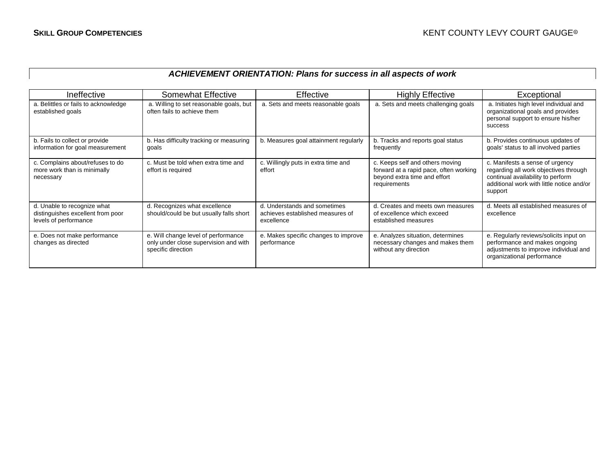### *ACHIEVEMENT ORIENTATION: Plans for success in all aspects of work*

| Ineffective                                                                               | Somewhat Effective                                                                                 | Effective                                                                      | <b>Highly Effective</b>                                                                                                   | Exceptional                                                                                                                                                           |
|-------------------------------------------------------------------------------------------|----------------------------------------------------------------------------------------------------|--------------------------------------------------------------------------------|---------------------------------------------------------------------------------------------------------------------------|-----------------------------------------------------------------------------------------------------------------------------------------------------------------------|
| a. Belittles or fails to acknowledge<br>established goals                                 | a. Willing to set reasonable goals, but<br>often fails to achieve them                             | a. Sets and meets reasonable goals                                             | a. Sets and meets challenging goals                                                                                       | a. Initiates high level individual and<br>organizational goals and provides<br>personal support to ensure his/her<br>success                                          |
| b. Fails to collect or provide<br>information for goal measurement                        | b. Has difficulty tracking or measuring<br>goals                                                   | b. Measures goal attainment regularly                                          | b. Tracks and reports goal status<br>frequently                                                                           | b. Provides continuous updates of<br>goals' status to all involved parties                                                                                            |
| c. Complains about/refuses to do<br>more work than is minimally<br>necessary              | c. Must be told when extra time and<br>effort is required                                          | c. Willingly puts in extra time and<br>effort                                  | c. Keeps self and others moving<br>forward at a rapid pace, often working<br>beyond extra time and effort<br>requirements | c. Manifests a sense of urgency<br>regarding all work objectives through<br>continual availability to perform<br>additional work with little notice and/or<br>support |
| d. Unable to recognize what<br>distinguishes excellent from poor<br>levels of performance | d. Recognizes what excellence<br>should/could be but usually falls short                           | d. Understands and sometimes<br>achieves established measures of<br>excellence | d. Creates and meets own measures<br>of excellence which exceed<br>established measures                                   | d. Meets all established measures of<br>excellence                                                                                                                    |
| e. Does not make performance<br>changes as directed                                       | e. Will change level of performance<br>only under close supervision and with<br>specific direction | e. Makes specific changes to improve<br>performance                            | e. Analyzes situation, determines<br>necessary changes and makes them<br>without any direction                            | e. Regularly reviews/solicits input on<br>performance and makes ongoing<br>adjustments to improve individual and<br>organizational performance                        |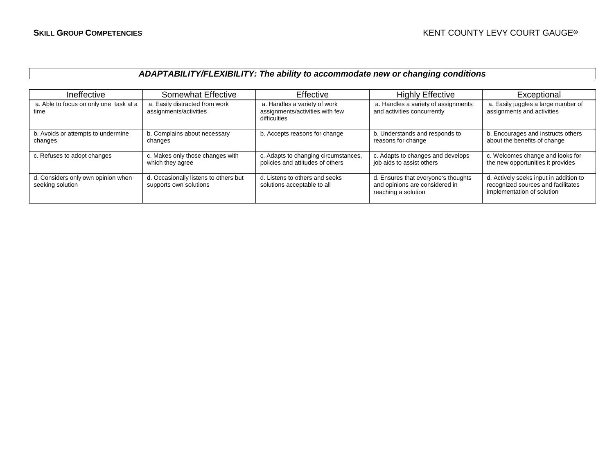### *ADAPTABILITY/FLEXIBILITY: The ability to accommodate new or changing conditions*

| Ineffective                                            | Somewhat Effective                                              | <b>Effective</b>                                                                | <b>Highly Effective</b>                                                                      | Exceptional                                                                                                |
|--------------------------------------------------------|-----------------------------------------------------------------|---------------------------------------------------------------------------------|----------------------------------------------------------------------------------------------|------------------------------------------------------------------------------------------------------------|
| a. Able to focus on only one task at a<br>time         | a. Easily distracted from work<br>assignments/activities        | a. Handles a variety of work<br>assignments/activities with few<br>difficulties | a. Handles a variety of assignments<br>and activities concurrently                           | a. Easily juggles a large number of<br>assignments and activities                                          |
| b. Avoids or attempts to undermine<br>changes          | b. Complains about necessary<br>changes                         | b. Accepts reasons for change                                                   | b. Understands and responds to<br>reasons for change                                         | b. Encourages and instructs others<br>about the benefits of change                                         |
| c. Refuses to adopt changes                            | c. Makes only those changes with<br>which they agree            | c. Adapts to changing circumstances,<br>policies and attitudes of others        | c. Adapts to changes and develops<br>job aids to assist others                               | c. Welcomes change and looks for<br>the new opportunities it provides                                      |
| d. Considers only own opinion when<br>seeking solution | d. Occasionally listens to others but<br>supports own solutions | d. Listens to others and seeks<br>solutions acceptable to all                   | d. Ensures that everyone's thoughts<br>and opinions are considered in<br>reaching a solution | d. Actively seeks input in addition to<br>recognized sources and facilitates<br>implementation of solution |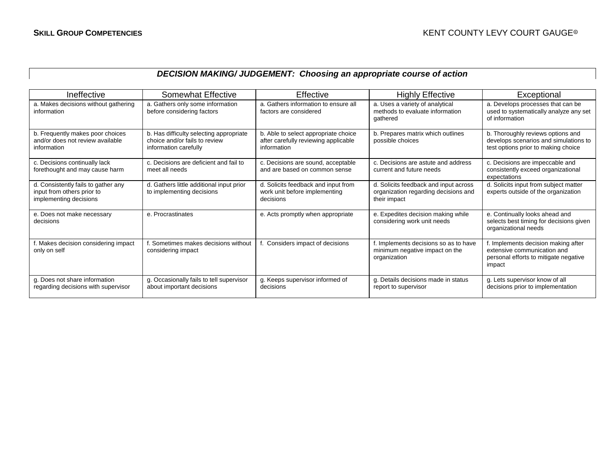# *DECISION MAKING/ JUDGEMENT: Choosing an appropriate course of action*

| Ineffective                                                                                 | Somewhat Effective                                                                                | Effective                                                                                   | <b>Highly Effective</b>                                                                       | Exceptional                                                                                                           |
|---------------------------------------------------------------------------------------------|---------------------------------------------------------------------------------------------------|---------------------------------------------------------------------------------------------|-----------------------------------------------------------------------------------------------|-----------------------------------------------------------------------------------------------------------------------|
| a. Makes decisions without gathering<br>information                                         | a. Gathers only some information<br>before considering factors                                    | a. Gathers information to ensure all<br>factors are considered                              | a. Uses a variety of analytical<br>methods to evaluate information<br>gathered                | a. Develops processes that can be<br>used to systematically analyze any set<br>of information                         |
| b. Frequently makes poor choices<br>and/or does not review available<br>information         | b. Has difficulty selecting appropriate<br>choice and/or fails to review<br>information carefully | b. Able to select appropriate choice<br>after carefully reviewing applicable<br>information | b. Prepares matrix which outlines<br>possible choices                                         | b. Thoroughly reviews options and<br>develops scenarios and simulations to<br>test options prior to making choice     |
| c. Decisions continually lack<br>forethought and may cause harm                             | c. Decisions are deficient and fail to<br>meet all needs                                          | c. Decisions are sound, acceptable<br>and are based on common sense                         | c. Decisions are astute and address<br>current and future needs                               | c. Decisions are impeccable and<br>consistently exceed organizational<br>expectations                                 |
| d. Consistently fails to gather any<br>input from others prior to<br>implementing decisions | d. Gathers little additional input prior<br>to implementing decisions                             | d. Solicits feedback and input from<br>work unit before implementing<br>decisions           | d. Solicits feedback and input across<br>organization regarding decisions and<br>their impact | d. Solicits input from subject matter<br>experts outside of the organization                                          |
| e. Does not make necessary<br>decisions                                                     | e. Procrastinates                                                                                 | e. Acts promptly when appropriate                                                           | e. Expedites decision making while<br>considering work unit needs                             | e. Continually looks ahead and<br>selects best timing for decisions given<br>organizational needs                     |
| f. Makes decision considering impact<br>only on self                                        | . Sometimes makes decisions without<br>considering impact                                         | Considers impact of decisions                                                               | f. Implements decisions so as to have<br>minimum negative impact on the<br>organization       | f. Implements decision making after<br>extensive communication and<br>personal efforts to mitigate negative<br>impact |
| g. Does not share information<br>regarding decisions with supervisor                        | g. Occasionally fails to tell supervisor<br>about important decisions                             | g. Keeps supervisor informed of<br>decisions                                                | g. Details decisions made in status<br>report to supervisor                                   | g. Lets supervisor know of all<br>decisions prior to implementation                                                   |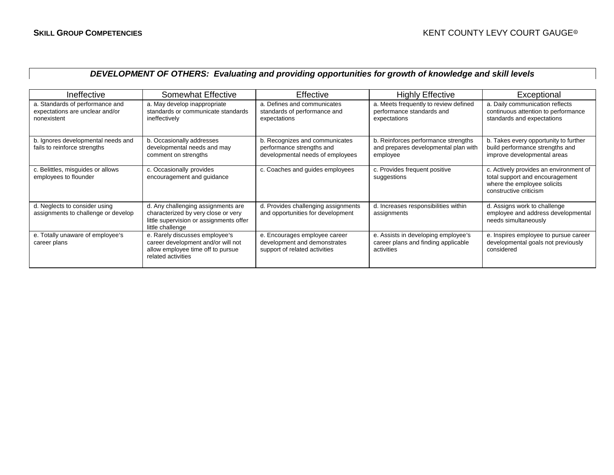# *DEVELOPMENT OF OTHERS: Evaluating and providing opportunities for growth of knowledge and skill levels*

| Ineffective                                                                       | Somewhat Effective                                                                                                                       | <b>Effective</b>                                                                                | <b>Highly Effective</b>                                                                  | Exceptional                                                                                                                        |
|-----------------------------------------------------------------------------------|------------------------------------------------------------------------------------------------------------------------------------------|-------------------------------------------------------------------------------------------------|------------------------------------------------------------------------------------------|------------------------------------------------------------------------------------------------------------------------------------|
| a. Standards of performance and<br>expectations are unclear and/or<br>nonexistent | a. May develop inappropriate<br>standards or communicate standards<br>ineffectively                                                      | a. Defines and communicates<br>standards of performance and<br>expectations                     | a. Meets frequently to review defined<br>performance standards and<br>expectations       | a. Daily communication reflects<br>continuous attention to performance<br>standards and expectations                               |
| b. Ignores developmental needs and<br>fails to reinforce strengths                | b. Occasionally addresses<br>developmental needs and may<br>comment on strengths                                                         | b. Recognizes and communicates<br>performance strengths and<br>developmental needs of employees | b. Reinforces performance strengths<br>and prepares developmental plan with<br>employee  | b. Takes every opportunity to further<br>build performance strengths and<br>improve developmental areas                            |
| c. Belittles, misguides or allows<br>employees to flounder                        | c. Occasionally provides<br>encouragement and guidance                                                                                   | c. Coaches and guides employees                                                                 | c. Provides frequent positive<br>suggestions                                             | c. Actively provides an environment of<br>total support and encouragement<br>where the employee solicits<br>constructive criticism |
| d. Neglects to consider using<br>assignments to challenge or develop              | d. Any challenging assignments are<br>characterized by very close or very<br>little supervision or assignments offer<br>little challenge | d. Provides challenging assignments<br>and opportunities for development                        | d. Increases responsibilities within<br>assignments                                      | d. Assigns work to challenge<br>employee and address developmental<br>needs simultaneously                                         |
| e. Totally unaware of employee's<br>career plans                                  | e. Rarely discusses employee's<br>career development and/or will not<br>allow employee time off to pursue<br>related activities          | e. Encourages employee career<br>development and demonstrates<br>support of related activities  | e. Assists in developing employee's<br>career plans and finding applicable<br>activities | e. Inspires employee to pursue career<br>developmental goals not previously<br>considered                                          |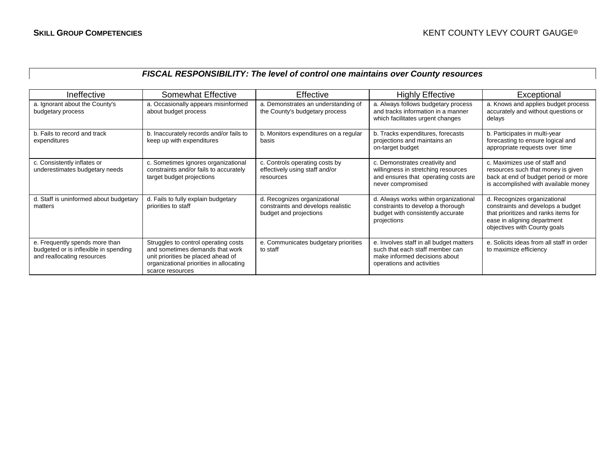#### *FISCAL RESPONSIBILITY: The level of control one maintains over County resources*

| Ineffective                                                                                           | <b>Somewhat Effective</b>                                                                                                                                                    | Effective                                                                                    | <b>Highly Effective</b>                                                                                                                  | Exceptional                                                                                                                                                              |
|-------------------------------------------------------------------------------------------------------|------------------------------------------------------------------------------------------------------------------------------------------------------------------------------|----------------------------------------------------------------------------------------------|------------------------------------------------------------------------------------------------------------------------------------------|--------------------------------------------------------------------------------------------------------------------------------------------------------------------------|
| a. Ignorant about the County's<br>budgetary process                                                   | a. Occasionally appears misinformed<br>about budget process                                                                                                                  | a. Demonstrates an understanding of<br>the County's budgetary process                        | a. Always follows budgetary process<br>and tracks information in a manner<br>which facilitates urgent changes                            | a. Knows and applies budget process<br>accurately and without questions or<br>delays                                                                                     |
| b. Fails to record and track<br>expenditures                                                          | b. Inaccurately records and/or fails to<br>keep up with expenditures                                                                                                         | b. Monitors expenditures on a regular<br>basis                                               | b. Tracks expenditures, forecasts<br>projections and maintains an<br>on-target budget                                                    | b. Participates in multi-year<br>forecasting to ensure logical and<br>appropriate requests over time                                                                     |
| c. Consistently inflates or<br>underestimates budgetary needs                                         | c. Sometimes ignores organizational<br>constraints and/or fails to accurately<br>target budget projections                                                                   | c. Controls operating costs by<br>effectively using staff and/or<br>resources                | c. Demonstrates creativity and<br>willingness in stretching resources<br>and ensures that operating costs are<br>never compromised       | c. Maximizes use of staff and<br>resources such that money is given<br>back at end of budget period or more<br>is accomplished with available money                      |
| d. Staff is uninformed about budgetary<br>matters                                                     | d. Fails to fully explain budgetary<br>priorities to staff                                                                                                                   | d. Recognizes organizational<br>constraints and develops realistic<br>budget and projections | d. Always works within organizational<br>constraints to develop a thorough<br>budget with consistently accurate<br>projections           | d. Recognizes organizational<br>constraints and develops a budget<br>that prioritizes and ranks items for<br>ease in aligning department<br>objectives with County goals |
| e. Frequently spends more than<br>budgeted or is inflexible in spending<br>and reallocating resources | Struggles to control operating costs<br>and sometimes demands that work<br>unit priorities be placed ahead of<br>organizational priorities in allocating<br>scarce resources | e. Communicates budgetary priorities<br>to staff                                             | e. Involves staff in all budget matters<br>such that each staff member can<br>make informed decisions about<br>operations and activities | e. Solicits ideas from all staff in order<br>to maximize efficiency                                                                                                      |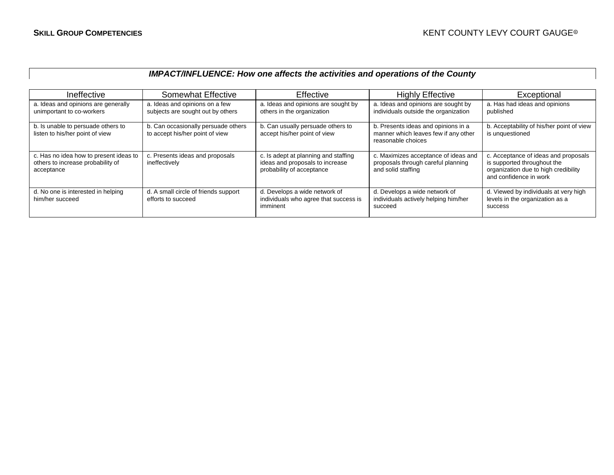### *IMPACT/INFLUENCE: How one affects the activities and operations of the County*

| Ineffective                                                                               | <b>Somewhat Effective</b>                                              | Effective                                                                                            | <b>Highly Effective</b>                                                                           | Exceptional                                                                                                                           |
|-------------------------------------------------------------------------------------------|------------------------------------------------------------------------|------------------------------------------------------------------------------------------------------|---------------------------------------------------------------------------------------------------|---------------------------------------------------------------------------------------------------------------------------------------|
| a. Ideas and opinions are generally<br>unimportant to co-workers                          | a. Ideas and opinions on a few<br>subjects are sought out by others    | a. Ideas and opinions are sought by<br>others in the organization                                    | a. Ideas and opinions are sought by<br>individuals outside the organization                       | a. Has had ideas and opinions<br>published                                                                                            |
| b. Is unable to persuade others to<br>listen to his/her point of view                     | b. Can occasionally persuade others<br>to accept his/her point of view | b. Can usually persuade others to<br>accept his/her point of view                                    | b. Presents ideas and opinions in a<br>manner which leaves few if any other<br>reasonable choices | b. Acceptability of his/her point of view<br>is unquestioned                                                                          |
| c. Has no idea how to present ideas to<br>others to increase probability of<br>acceptance | c. Presents ideas and proposals<br>ineffectively                       | c. Is adept at planning and staffing<br>ideas and proposals to increase<br>probability of acceptance | c. Maximizes acceptance of ideas and<br>proposals through careful planning<br>and solid staffing  | c. Acceptance of ideas and proposals<br>is supported throughout the<br>organization due to high credibility<br>and confidence in work |
| d. No one is interested in helping<br>him/her succeed                                     | d. A small circle of friends support<br>efforts to succeed             | d. Develops a wide network of<br>individuals who agree that success is<br>imminent                   | d. Develops a wide network of<br>individuals actively helping him/her<br>succeed                  | d. Viewed by individuals at very high<br>levels in the organization as a<br><b>SUCCESS</b>                                            |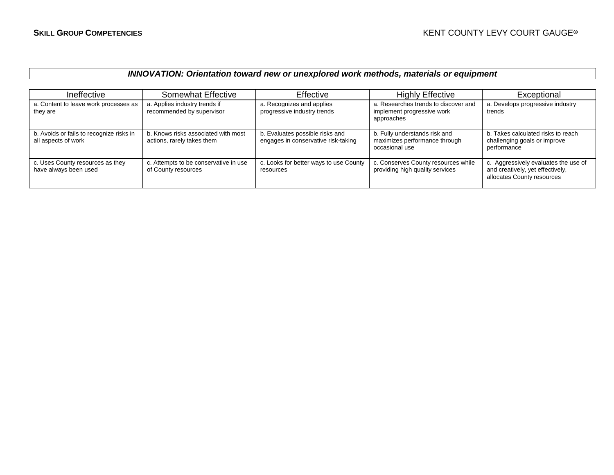#### *INNOVATION: Orientation toward new or unexplored work methods, materials or equipment*

| Ineffective                                                     | <b>Somewhat Effective</b>                                         | Effective                                                              | <b>Highly Effective</b>                                                          | Exceptional                                                                                            |
|-----------------------------------------------------------------|-------------------------------------------------------------------|------------------------------------------------------------------------|----------------------------------------------------------------------------------|--------------------------------------------------------------------------------------------------------|
| a. Content to leave work processes as<br>they are               | a. Applies industry trends if<br>recommended by supervisor        | a. Recognizes and applies<br>progressive industry trends               | a. Researches trends to discover and<br>implement progressive work<br>approaches | a. Develops progressive industry<br>trends                                                             |
| b. Avoids or fails to recognize risks in<br>all aspects of work | b. Knows risks associated with most<br>actions, rarely takes them | b. Evaluates possible risks and<br>engages in conservative risk-taking | b. Fully understands risk and<br>maximizes performance through<br>occasional use | b. Takes calculated risks to reach<br>challenging goals or improve<br>performance                      |
| c. Uses County resources as they<br>have always been used       | c. Attempts to be conservative in use<br>of County resources      | c. Looks for better ways to use County<br>resources                    | c. Conserves County resources while<br>providing high quality services           | c. Aggressively evaluates the use of<br>and creatively, yet effectively,<br>allocates County resources |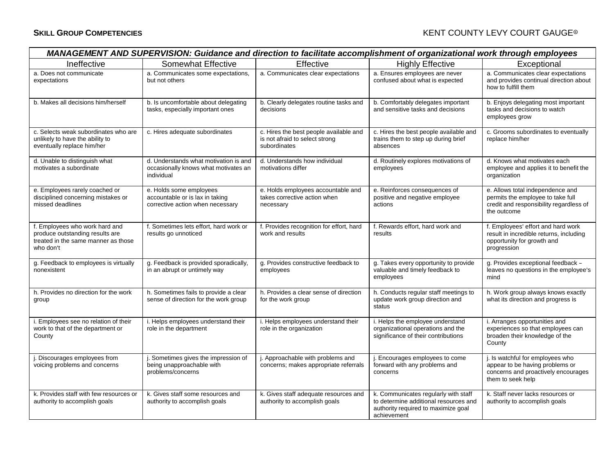#### **SKILL GROUP COMPETENCIES SKILL GROUP COURT GAUGE®**

| MANAGEMENT AND SUPERVISION: Guidance and direction to facilitate accomplishment of organizational work through employees |                                                                                                |                                                                                          |                                                                                                                                     |                                                                                                                                 |  |
|--------------------------------------------------------------------------------------------------------------------------|------------------------------------------------------------------------------------------------|------------------------------------------------------------------------------------------|-------------------------------------------------------------------------------------------------------------------------------------|---------------------------------------------------------------------------------------------------------------------------------|--|
| Ineffective                                                                                                              | <b>Somewhat Effective</b>                                                                      | Effective                                                                                | <b>Highly Effective</b>                                                                                                             | Exceptional                                                                                                                     |  |
| a. Does not communicate<br>expectations                                                                                  | a. Communicates some expectations,<br>but not others                                           | a. Communicates clear expectations                                                       | a. Ensures employees are never<br>confused about what is expected                                                                   | a. Communicates clear expectations<br>and provides continual direction about<br>how to fulfill them                             |  |
| b. Makes all decisions him/herself                                                                                       | b. Is uncomfortable about delegating<br>tasks, especially important ones                       | b. Clearly delegates routine tasks and<br>decisions                                      | b. Comfortably delegates important<br>and sensitive tasks and decisions                                                             | b. Enjoys delegating most important<br>tasks and decisions to watch<br>employees grow                                           |  |
| c. Selects weak subordinates who are<br>unlikely to have the ability to<br>eventually replace him/her                    | c. Hires adequate subordinates                                                                 | c. Hires the best people available and<br>is not afraid to select strong<br>subordinates | c. Hires the best people available and<br>trains them to step up during brief<br>absences                                           | c. Grooms subordinates to eventually<br>replace him/her                                                                         |  |
| d. Unable to distinguish what<br>motivates a subordinate                                                                 | d. Understands what motivation is and<br>occasionally knows what motivates an<br>individual    | d. Understands how individual<br>motivations differ                                      | d. Routinely explores motivations of<br>employees                                                                                   | d. Knows what motivates each<br>employee and applies it to benefit the<br>organization                                          |  |
| e. Employees rarely coached or<br>disciplined concerning mistakes or<br>missed deadlines                                 | e. Holds some employees<br>accountable or is lax in taking<br>corrective action when necessary | e. Holds employees accountable and<br>takes corrective action when<br>necessary          | e. Reinforces consequences of<br>positive and negative employee<br>actions                                                          | e. Allows total independence and<br>permits the employee to take full<br>credit and responsibility regardless of<br>the outcome |  |
| f. Employees who work hard and<br>produce outstanding results are<br>treated in the same manner as those<br>who don't    | f. Sometimes lets effort, hard work or<br>results go unnoticed                                 | f. Provides recognition for effort, hard<br>work and results                             | f. Rewards effort, hard work and<br>results                                                                                         | f. Employees' effort and hard work<br>result in incredible returns, including<br>opportunity for growth and<br>progression      |  |
| g. Feedback to employees is virtually<br>nonexistent                                                                     | g. Feedback is provided sporadically,<br>in an abrupt or untimely way                          | g. Provides constructive feedback to<br>employees                                        | g. Takes every opportunity to provide<br>valuable and timely feedback to<br>employees                                               | g. Provides exceptional feedback -<br>leaves no questions in the employee's<br>mind                                             |  |
| h. Provides no direction for the work<br>group                                                                           | h. Sometimes fails to provide a clear<br>sense of direction for the work group                 | h. Provides a clear sense of direction<br>for the work group                             | h. Conducts regular staff meetings to<br>update work group direction and<br>status                                                  | h. Work group always knows exactly<br>what its direction and progress is                                                        |  |
| i. Employees see no relation of their<br>work to that of the department or<br>County                                     | i. Helps employees understand their<br>role in the department                                  | i. Helps employees understand their<br>role in the organization                          | i. Helps the employee understand<br>organizational operations and the<br>significance of their contributions                        | i. Arranges opportunities and<br>experiences so that employees can<br>broaden their knowledge of the<br>County                  |  |
| j. Discourages employees from<br>voicing problems and concerns                                                           | . Sometimes gives the impression of<br>being unapproachable with<br>problems/concerns          | j. Approachable with problems and<br>concerns; makes appropriate referrals               | Encourages employees to come<br>forward with any problems and<br>concerns                                                           | j. Is watchful for employees who<br>appear to be having problems or<br>concerns and proactively encourages<br>them to seek help |  |
| k. Provides staff with few resources or<br>authority to accomplish goals                                                 | k. Gives staff some resources and<br>authority to accomplish goals                             | k. Gives staff adequate resources and<br>authority to accomplish goals                   | k. Communicates regularly with staff<br>to determine additional resources and<br>authority required to maximize goal<br>achievement | k. Staff never lacks resources or<br>authority to accomplish goals                                                              |  |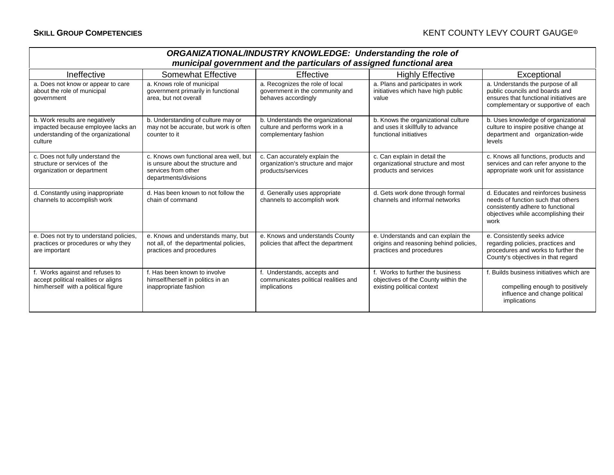| <b>ORGANIZATIONAL/INDUSTRY KNOWLEDGE: Understanding the role of</b><br>municipal government and the particulars of assigned functional area |                                                                                                                             |                                                                                              |                                                                                                          |                                                                                                                                                                |  |  |  |
|---------------------------------------------------------------------------------------------------------------------------------------------|-----------------------------------------------------------------------------------------------------------------------------|----------------------------------------------------------------------------------------------|----------------------------------------------------------------------------------------------------------|----------------------------------------------------------------------------------------------------------------------------------------------------------------|--|--|--|
| Ineffective                                                                                                                                 | <b>Somewhat Effective</b><br>Exceptional<br>Effective<br><b>Highly Effective</b>                                            |                                                                                              |                                                                                                          |                                                                                                                                                                |  |  |  |
| a. Does not know or appear to care<br>about the role of municipal<br>government                                                             | a. Knows role of municipal<br>government primarily in functional<br>area, but not overall                                   | a. Recognizes the role of local<br>government in the community and<br>behaves accordingly    | a. Plans and participates in work<br>initiatives which have high public<br>value                         | a. Understands the purpose of all<br>public councils and boards and<br>ensures that functional initiatives are<br>complementary or supportive of each          |  |  |  |
| b. Work results are negatively<br>impacted because employee lacks an<br>understanding of the organizational<br>culture                      | b. Understanding of culture may or<br>may not be accurate, but work is often<br>counter to it                               | b. Understands the organizational<br>culture and performs work in a<br>complementary fashion | b. Knows the organizational culture<br>and uses it skillfully to advance<br>functional initiatives       | b. Uses knowledge of organizational<br>culture to inspire positive change at<br>department and organization-wide<br>levels                                     |  |  |  |
| c. Does not fully understand the<br>structure or services of the<br>organization or department                                              | c. Knows own functional area well, but<br>is unsure about the structure and<br>services from other<br>departments/divisions | c. Can accurately explain the<br>organization's structure and major<br>products/services     | c. Can explain in detail the<br>organizational structure and most<br>products and services               | c. Knows all functions, products and<br>services and can refer anyone to the<br>appropriate work unit for assistance                                           |  |  |  |
| d. Constantly using inappropriate<br>channels to accomplish work                                                                            | d. Has been known to not follow the<br>chain of command                                                                     | d. Generally uses appropriate<br>channels to accomplish work                                 | d. Gets work done through formal<br>channels and informal networks                                       | d. Educates and reinforces business<br>needs of function such that others<br>consistently adhere to functional<br>objectives while accomplishing their<br>work |  |  |  |
| e. Does not try to understand policies,<br>practices or procedures or why they<br>are important                                             | e. Knows and understands many, but<br>not all, of the departmental policies,<br>practices and procedures                    | e. Knows and understands County<br>policies that affect the department                       | e. Understands and can explain the<br>origins and reasoning behind policies,<br>practices and procedures | e. Consistently seeks advice<br>regarding policies, practices and<br>procedures and works to further the<br>County's objectives in that regard                 |  |  |  |
| f. Works against and refuses to<br>accept political realities or aligns<br>him/herself with a political figure                              | f. Has been known to involve<br>himself/herself in politics in an<br>inappropriate fashion                                  | f. Understands, accepts and<br>communicates political realities and<br>implications          | f. Works to further the business<br>objectives of the County within the<br>existing political context    | f. Builds business initiatives which are<br>compelling enough to positively<br>influence and change political<br>implications                                  |  |  |  |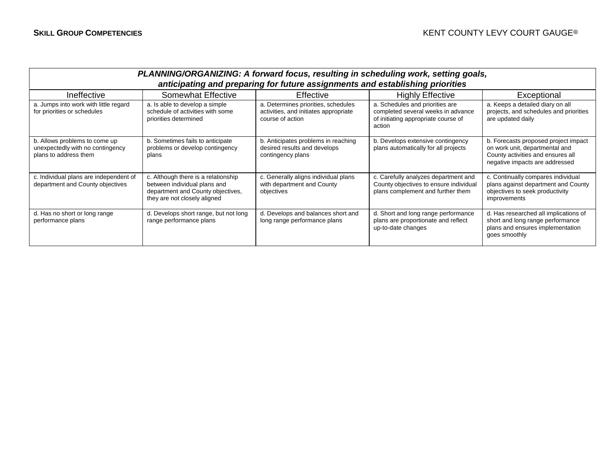| PLANNING/ORGANIZING: A forward focus, resulting in scheduling work, setting goals,<br>anticipating and preparing for future assignments and establishing priorities |                                                                                                                                          |                                                                                                  |                                                                                                                        |                                                                                                                                               |  |
|---------------------------------------------------------------------------------------------------------------------------------------------------------------------|------------------------------------------------------------------------------------------------------------------------------------------|--------------------------------------------------------------------------------------------------|------------------------------------------------------------------------------------------------------------------------|-----------------------------------------------------------------------------------------------------------------------------------------------|--|
| Ineffective                                                                                                                                                         | <b>Somewhat Effective</b>                                                                                                                | Effective                                                                                        | <b>Highly Effective</b>                                                                                                | Exceptional                                                                                                                                   |  |
| a. Jumps into work with little regard<br>for priorities or schedules                                                                                                | a. Is able to develop a simple<br>schedule of activities with some<br>priorities determined                                              | a. Determines priorities, schedules<br>activities, and initiates appropriate<br>course of action | a. Schedules and priorities are<br>completed several weeks in advance<br>of initiating appropriate course of<br>action | a. Keeps a detailed diary on all<br>projects, and schedules and priorities<br>are updated daily                                               |  |
| b. Allows problems to come up<br>unexpectedly with no contingency<br>plans to address them                                                                          | b. Sometimes fails to anticipate<br>problems or develop contingency<br>plans                                                             | b. Anticipates problems in reaching<br>desired results and develops<br>contingency plans         | b. Develops extensive contingency<br>plans automatically for all projects                                              | b. Forecasts proposed project impact<br>on work unit, departmental and<br>County activities and ensures all<br>negative impacts are addressed |  |
| c. Individual plans are independent of<br>department and County objectives                                                                                          | c. Although there is a relationship<br>between individual plans and<br>department and County objectives,<br>they are not closely aligned | c. Generally aligns individual plans<br>with department and County<br>objectives                 | c. Carefully analyzes department and<br>County objectives to ensure individual<br>plans complement and further them    | c. Continually compares individual<br>plans against department and County<br>objectives to seek productivity<br>improvements                  |  |
| d. Has no short or long range<br>performance plans                                                                                                                  | d. Develops short range, but not long<br>range performance plans                                                                         | d. Develops and balances short and<br>long range performance plans                               | d. Short and long range performance<br>plans are proportionate and reflect<br>up-to-date changes                       | d. Has researched all implications of<br>short and long range performance<br>plans and ensures implementation<br>goes smoothly                |  |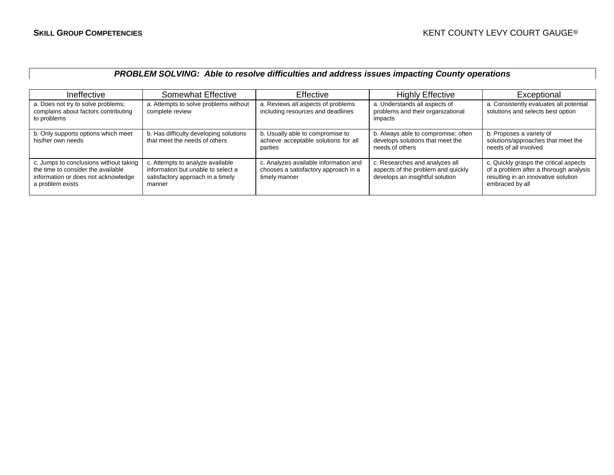### *PROBLEM SOLVING: Able to resolve difficulties and address issues impacting County operations*

| Ineffective                                                                                                                             | Somewhat Effective                                                                                                    | <b>Effective</b>                                                                               | <b>Highly Effective</b>                                                                                 | Exceptional                                                                                                                                |
|-----------------------------------------------------------------------------------------------------------------------------------------|-----------------------------------------------------------------------------------------------------------------------|------------------------------------------------------------------------------------------------|---------------------------------------------------------------------------------------------------------|--------------------------------------------------------------------------------------------------------------------------------------------|
| a. Does not try to solve problems;<br>complains about factors contributing<br>to problems                                               | a. Attempts to solve problems without<br>complete review                                                              | a. Reviews all aspects of problems<br>including resources and deadlines                        | a. Understands all aspects of<br>problems and their organizational<br>impacts                           | a. Consistently evaluates all potential<br>solutions and selects best option                                                               |
| b. Only supports options which meet<br>his/her own needs                                                                                | b. Has difficulty developing solutions<br>that meet the needs of others                                               | b. Usually able to compromise to<br>achieve acceptable solutions for all<br>parties            | b. Always able to compromise; often<br>develops solutions that meet the<br>needs of others              | b. Proposes a variety of<br>solutions/approaches that meet the<br>needs of all involved                                                    |
| c. Jumps to conclusions without taking<br>the time to consider the available<br>information or does not acknowledge<br>a problem exists | c. Attempts to analyze available<br>information but unable to select a<br>satisfactory approach in a timely<br>manner | c. Analyzes available information and<br>chooses a satisfactory approach in a<br>timely manner | c. Researches and analyzes all<br>aspects of the problem and quickly<br>develops an insightful solution | c. Quickly grasps the critical aspects<br>of a problem after a thorough analysis<br>resulting in an innovative solution<br>embraced by all |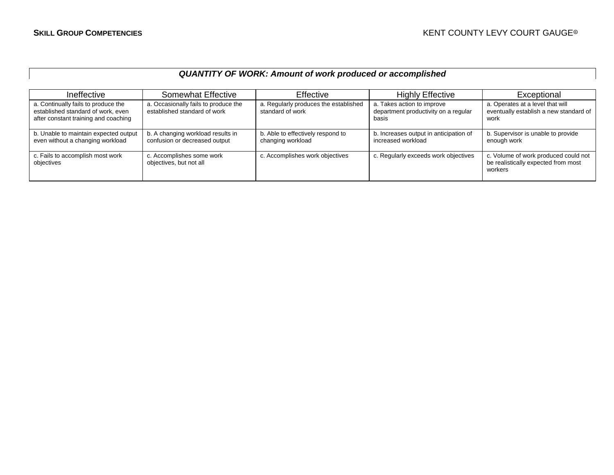# *QUANTITY OF WORK: Amount of work produced or accomplished*

| Ineffective                                                                                                       | Somewhat Effective                                                   | Effective                                                 | <b>Highly Effective</b>                                                     | Exceptional                                                                            |
|-------------------------------------------------------------------------------------------------------------------|----------------------------------------------------------------------|-----------------------------------------------------------|-----------------------------------------------------------------------------|----------------------------------------------------------------------------------------|
| a. Continually fails to produce the<br>established standard of work, even<br>after constant training and coaching | a. Occasionally fails to produce the<br>established standard of work | a. Regularly produces the established<br>standard of work | a. Takes action to improve<br>department productivity on a regular<br>basis | a. Operates at a level that will<br>eventually establish a new standard of<br>work     |
| b. Unable to maintain expected output<br>even without a changing workload                                         | b. A changing workload results in<br>confusion or decreased output   | b. Able to effectively respond to<br>changing workload    | b. Increases output in anticipation of<br>increased workload                | b. Supervisor is unable to provide<br>enough work                                      |
| c. Fails to accomplish most work<br>objectives                                                                    | c. Accomplishes some work<br>objectives, but not all                 | c. Accomplishes work objectives                           | c. Regularly exceeds work objectives                                        | c. Volume of work produced could not<br>be realistically expected from most<br>workers |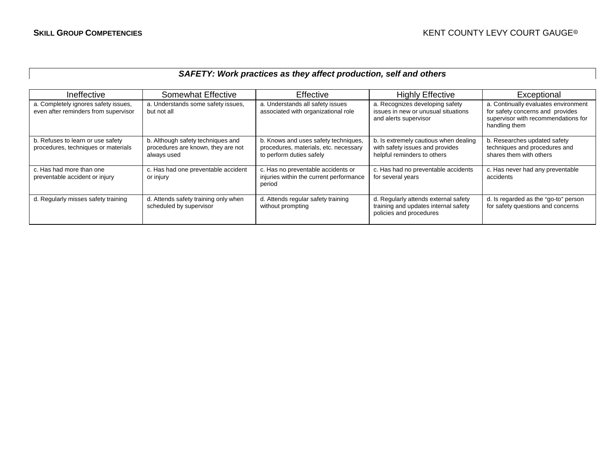# *SAFETY: Work practices as they affect production, self and others*

| Ineffective                                                                  | <b>Somewhat Effective</b>                                                              | Effective                                                                                                 | <b>Highly Effective</b>                                                                                 | Exceptional                                                                                                                      |
|------------------------------------------------------------------------------|----------------------------------------------------------------------------------------|-----------------------------------------------------------------------------------------------------------|---------------------------------------------------------------------------------------------------------|----------------------------------------------------------------------------------------------------------------------------------|
| a. Completely ignores safety issues,<br>even after reminders from supervisor | a. Understands some safety issues,<br>but not all                                      | a. Understands all safety issues<br>associated with organizational role                                   | a. Recognizes developing safety<br>issues in new or unusual situations<br>and alerts supervisor         | a. Continually evaluates environment<br>for safety concerns and provides<br>supervisor with recommendations for<br>handling them |
| b. Refuses to learn or use safety<br>procedures, techniques or materials     | b. Although safety techniques and<br>procedures are known, they are not<br>always used | b. Knows and uses safety techniques,<br>procedures, materials, etc. necessary<br>to perform duties safely | b. Is extremely cautious when dealing<br>with safety issues and provides<br>helpful reminders to others | b. Researches updated safety<br>techniques and procedures and<br>shares them with others                                         |
| c. Has had more than one<br>preventable accident or injury                   | c. Has had one preventable accident<br>or injury                                       | c. Has no preventable accidents or<br>injuries within the current performance<br>period                   | c. Has had no preventable accidents<br>for several years                                                | c. Has never had any preventable<br>accidents                                                                                    |
| d. Regularly misses safety training                                          | d. Attends safety training only when<br>scheduled by supervisor                        | d. Attends regular safety training<br>without prompting                                                   | d. Regularly attends external safety<br>training and updates internal safety<br>policies and procedures | d. Is regarded as the "go-to" person<br>for safety questions and concerns                                                        |